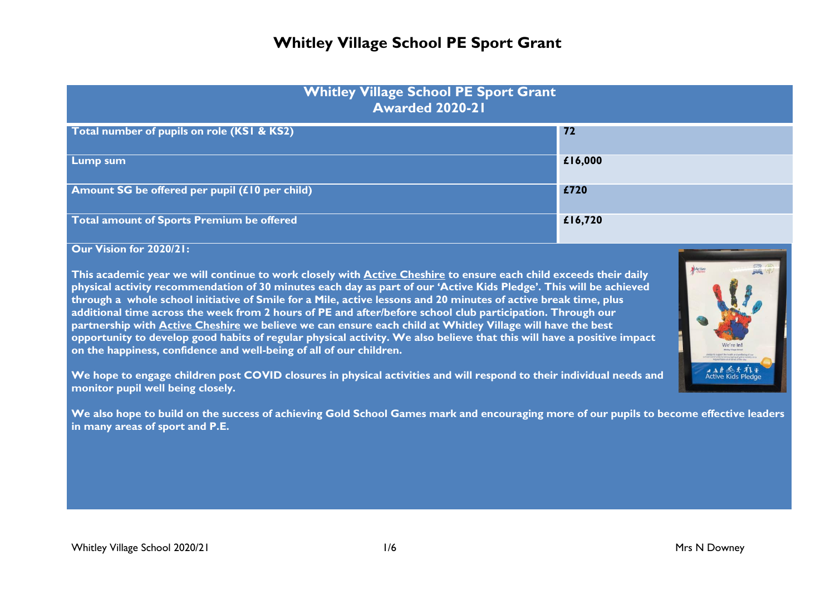| <b>Whitley Village School PE Sport Grant</b><br><b>Awarded 2020-21</b> |         |  |  |
|------------------------------------------------------------------------|---------|--|--|
| Total number of pupils on role (KSI & KS2)                             | $72$    |  |  |
| <b>Lump sum</b>                                                        | £16,000 |  |  |
| Amount SG be offered per pupil (£10 per child)                         | £720    |  |  |
| Total amount of Sports Premium be offered                              | £16,720 |  |  |

**Our Vision for 2020/21:**

**This academic year we will continue to work closely with Active Cheshire to ensure each child exceeds their daily physical activity recommendation of 30 minutes each day as part of our 'Active Kids Pledge'. This will be achieved through a whole school initiative of Smile for a Mile, active lessons and 20 minutes of active break time, plus additional time across the week from 2 hours of PE and after/before school club participation. Through our partnership with Active Cheshire we believe we can ensure each child at Whitley Village will have the best opportunity to develop good habits of regular physical activity. We also believe that this will have a positive impact on the happiness, confidence and well-being of all of our children.**

**We hope to engage children post COVID closures in physical activities and will respond to their individual needs and monitor pupil well being closely.** 

**We also hope to build on the success of achieving Gold School Games mark and encouraging more of our pupils to become effective leaders in many areas of sport and P.E.** 



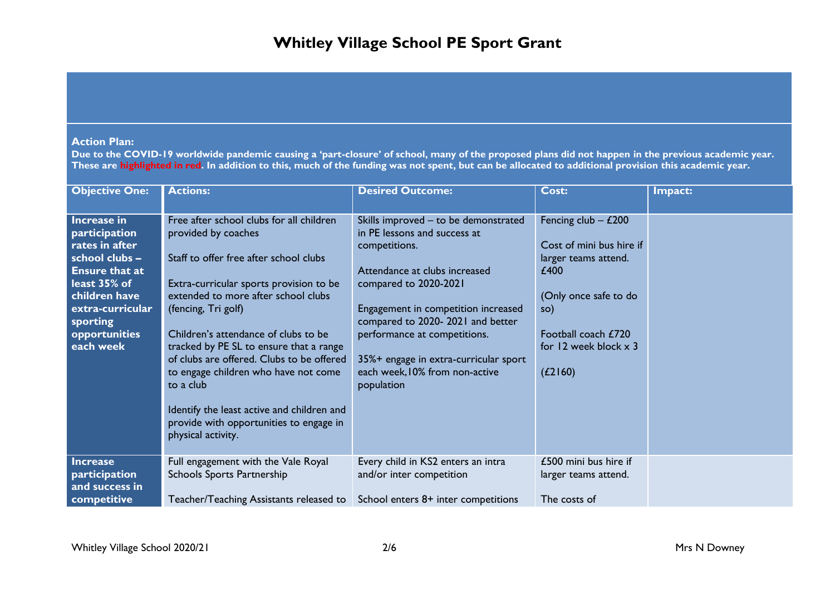### **Action Plan:**

**Due to the COVID-19 worldwide pandemic causing a 'part-closure' of school, many of the proposed plans did not happen in the previous academic year. These are highlighted in red. In addition to this, much of the funding was not spent, but can be allocated to additional provision this academic year.**

| <b>Objective One:</b>                                                                                                                                                                    | <b>Actions:</b>                                                                                                                                                                                                                                                                                                                                                                                                                                                                                                        | <b>Desired Outcome:</b>                                                                                                                                                                                                                                                                                                                             | Cost:                                                                                                                                                                               | Impact: |
|------------------------------------------------------------------------------------------------------------------------------------------------------------------------------------------|------------------------------------------------------------------------------------------------------------------------------------------------------------------------------------------------------------------------------------------------------------------------------------------------------------------------------------------------------------------------------------------------------------------------------------------------------------------------------------------------------------------------|-----------------------------------------------------------------------------------------------------------------------------------------------------------------------------------------------------------------------------------------------------------------------------------------------------------------------------------------------------|-------------------------------------------------------------------------------------------------------------------------------------------------------------------------------------|---------|
| Increase in<br>participation<br>rates in after<br>school clubs -<br><b>Ensure that at</b><br>least 35% of<br>children have<br>extra-curricular<br>sporting<br>opportunities<br>each week | Free after school clubs for all children<br>provided by coaches<br>Staff to offer free after school clubs<br>Extra-curricular sports provision to be<br>extended to more after school clubs<br>(fencing, Tri golf)<br>Children's attendance of clubs to be<br>tracked by PE SL to ensure that a range<br>of clubs are offered. Clubs to be offered<br>to engage children who have not come<br>to a club<br>Identify the least active and children and<br>provide with opportunities to engage in<br>physical activity. | Skills improved - to be demonstrated<br>in PE lessons and success at<br>competitions.<br>Attendance at clubs increased<br>compared to 2020-2021<br>Engagement in competition increased<br>compared to 2020-2021 and better<br>performance at competitions.<br>35%+ engage in extra-curricular sport<br>each week, 10% from non-active<br>population | Fencing club $-$ £200<br>Cost of mini bus hire if<br>larger teams attend.<br>£400<br>(Only once safe to do<br>so)<br>Football coach £720<br>for 12 week block $\times$ 3<br>(L2160) |         |
| <b>Increase</b><br>participation<br>and success in<br>competitive                                                                                                                        | Full engagement with the Vale Royal<br>Schools Sports Partnership<br>Teacher/Teaching Assistants released to                                                                                                                                                                                                                                                                                                                                                                                                           | Every child in KS2 enters an intra<br>and/or inter competition<br>School enters 8+ inter competitions                                                                                                                                                                                                                                               | £500 mini bus hire if<br>larger teams attend.<br>The costs of                                                                                                                       |         |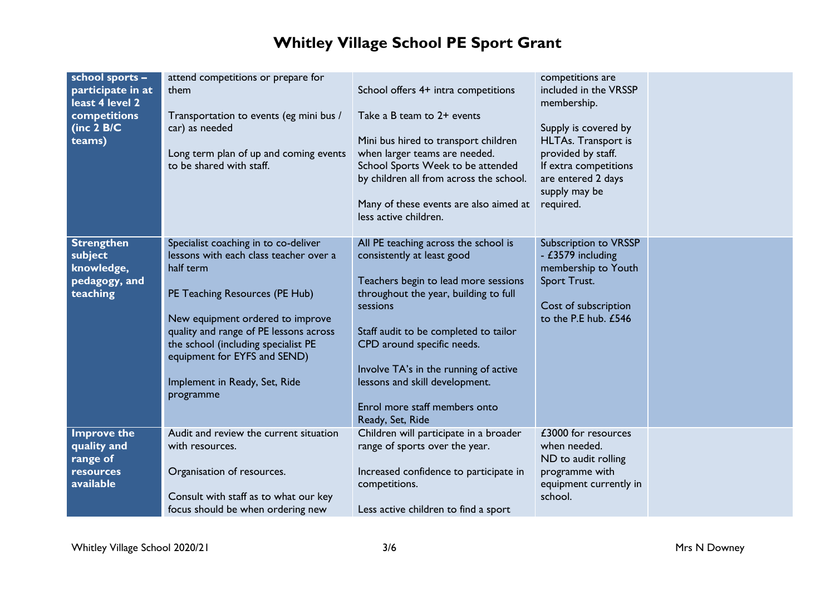| school sports -<br>participate in at<br>least 4 level 2<br>competitions<br>(inc $2$ B/C<br>teams) | attend competitions or prepare for<br>them<br>Transportation to events (eg mini bus /<br>car) as needed<br>Long term plan of up and coming events<br>to be shared with staff.                                                                                                                                                    | School offers 4+ intra competitions<br>Take a B team to 2+ events<br>Mini bus hired to transport children<br>when larger teams are needed.<br>School Sports Week to be attended<br>by children all from across the school.<br>Many of these events are also aimed at<br>less active children.                                                                          | competitions are<br>included in the VRSSP<br>membership.<br>Supply is covered by<br>HLTAs. Transport is<br>provided by staff.<br>If extra competitions<br>are entered 2 days<br>supply may be<br>required. |  |
|---------------------------------------------------------------------------------------------------|----------------------------------------------------------------------------------------------------------------------------------------------------------------------------------------------------------------------------------------------------------------------------------------------------------------------------------|------------------------------------------------------------------------------------------------------------------------------------------------------------------------------------------------------------------------------------------------------------------------------------------------------------------------------------------------------------------------|------------------------------------------------------------------------------------------------------------------------------------------------------------------------------------------------------------|--|
| <b>Strengthen</b><br>subject<br>knowledge,<br>pedagogy, and<br>teaching                           | Specialist coaching in to co-deliver<br>lessons with each class teacher over a<br>half term<br>PE Teaching Resources (PE Hub)<br>New equipment ordered to improve<br>quality and range of PE lessons across<br>the school (including specialist PE<br>equipment for EYFS and SEND)<br>Implement in Ready, Set, Ride<br>programme | All PE teaching across the school is<br>consistently at least good<br>Teachers begin to lead more sessions<br>throughout the year, building to full<br>sessions<br>Staff audit to be completed to tailor<br>CPD around specific needs.<br>Involve TA's in the running of active<br>lessons and skill development.<br>Enrol more staff members onto<br>Ready, Set, Ride | Subscription to VRSSP<br>- £3579 including<br>membership to Youth<br>Sport Trust.<br>Cost of subscription<br>to the P.E hub. £546                                                                          |  |
| <b>Improve the</b><br>quality and<br>range of<br><b>resources</b><br>available                    | Audit and review the current situation<br>with resources.<br>Organisation of resources.<br>Consult with staff as to what our key<br>focus should be when ordering new                                                                                                                                                            | Children will participate in a broader<br>range of sports over the year.<br>Increased confidence to participate in<br>competitions.<br>Less active children to find a sport                                                                                                                                                                                            | £3000 for resources<br>when needed.<br>ND to audit rolling<br>programme with<br>equipment currently in<br>school.                                                                                          |  |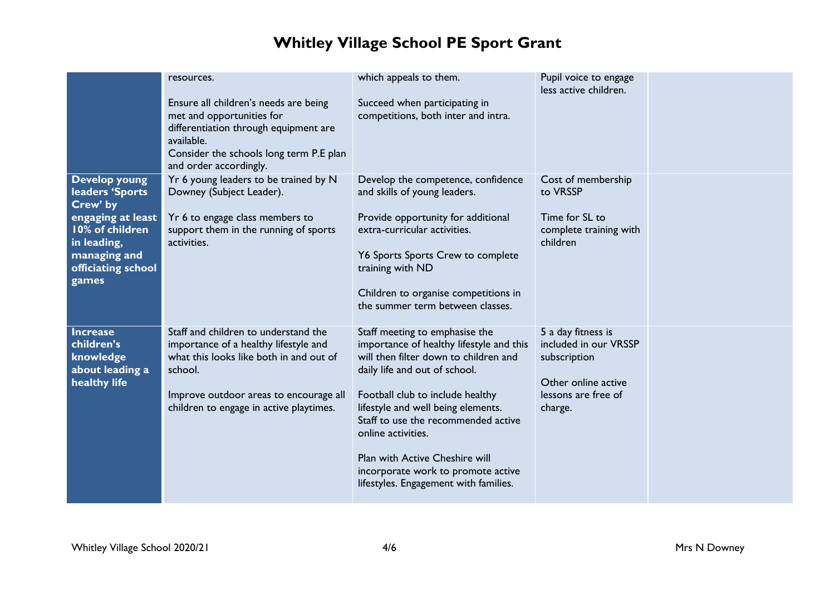|                                                                                                                                                           | resources.                                                                                                                                                                                                               | which appeals to them.                                                                                                                                                                                                                                                                                                                                                                                       | Pupil voice to engage<br>less active children.                                                                       |  |
|-----------------------------------------------------------------------------------------------------------------------------------------------------------|--------------------------------------------------------------------------------------------------------------------------------------------------------------------------------------------------------------------------|--------------------------------------------------------------------------------------------------------------------------------------------------------------------------------------------------------------------------------------------------------------------------------------------------------------------------------------------------------------------------------------------------------------|----------------------------------------------------------------------------------------------------------------------|--|
|                                                                                                                                                           | Ensure all children's needs are being<br>met and opportunities for<br>differentiation through equipment are<br>available.<br>Consider the schools long term P.E plan<br>and order accordingly.                           | Succeed when participating in<br>competitions, both inter and intra.                                                                                                                                                                                                                                                                                                                                         |                                                                                                                      |  |
| <b>Develop young</b><br>leaders 'Sports<br>Crew' by<br>engaging at least<br>10% of children<br>in leading,<br>managing and<br>officiating school<br>games | Yr 6 young leaders to be trained by N<br>Downey (Subject Leader).<br>Yr 6 to engage class members to<br>support them in the running of sports<br>activities.                                                             | Develop the competence, confidence<br>and skills of young leaders.<br>Provide opportunity for additional<br>extra-curricular activities.<br>Y6 Sports Sports Crew to complete<br>training with ND<br>Children to organise competitions in<br>the summer term between classes.                                                                                                                                | Cost of membership<br>to VRSSP<br>Time for SL to<br>complete training with<br>children                               |  |
| <b>Increase</b><br>children's<br>knowledge<br>about leading a<br>healthy life                                                                             | Staff and children to understand the<br>importance of a healthy lifestyle and<br>what this looks like both in and out of<br>school.<br>Improve outdoor areas to encourage all<br>children to engage in active playtimes. | Staff meeting to emphasise the<br>importance of healthy lifestyle and this<br>will then filter down to children and<br>daily life and out of school.<br>Football club to include healthy<br>lifestyle and well being elements.<br>Staff to use the recommended active<br>online activities.<br>Plan with Active Cheshire will<br>incorporate work to promote active<br>lifestyles. Engagement with families. | 5 a day fitness is<br>included in our VRSSP<br>subscription<br>Other online active<br>lessons are free of<br>charge. |  |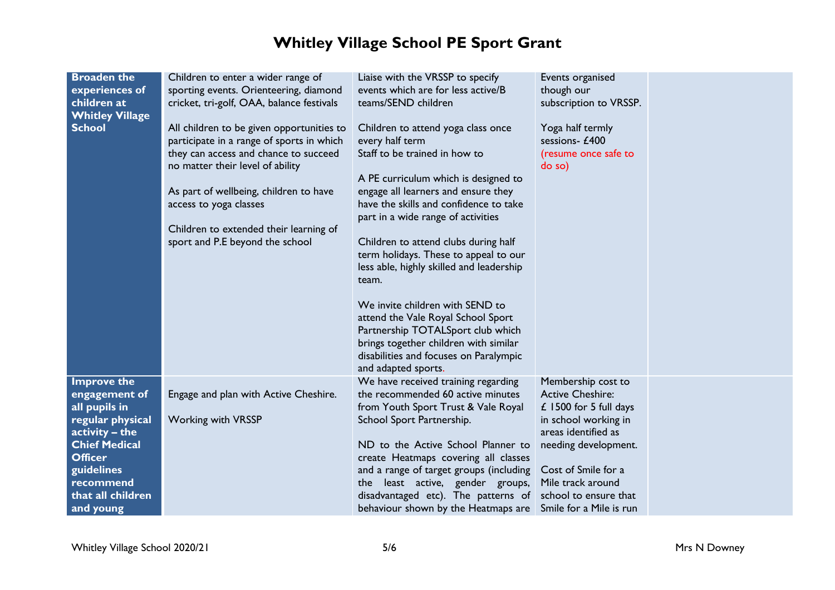| <b>Broaden the</b><br>experiences of<br>children at<br><b>Whitley Village</b><br><b>School</b>                                                                                                    | Children to enter a wider range of<br>sporting events. Orienteering, diamond<br>cricket, tri-golf, OAA, balance festivals<br>All children to be given opportunities to<br>participate in a range of sports in which<br>they can access and chance to succeed<br>no matter their level of ability<br>As part of wellbeing, children to have<br>access to yoga classes<br>Children to extended their learning of<br>sport and P.E beyond the school | Liaise with the VRSSP to specify<br>events which are for less active/B<br>teams/SEND children<br>Children to attend yoga class once<br>every half term<br>Staff to be trained in how to<br>A PE curriculum which is designed to<br>engage all learners and ensure they<br>have the skills and confidence to take<br>part in a wide range of activities<br>Children to attend clubs during half<br>term holidays. These to appeal to our<br>less able, highly skilled and leadership<br>team.<br>We invite children with SEND to<br>attend the Vale Royal School Sport<br>Partnership TOTALSport club which<br>brings together children with similar<br>disabilities and focuses on Paralympic<br>and adapted sports. | Events organised<br>though our<br>subscription to VRSSP.<br>Yoga half termly<br>sessions- £400<br>(resume once safe to<br>do so)                                                                                                                 |  |
|---------------------------------------------------------------------------------------------------------------------------------------------------------------------------------------------------|---------------------------------------------------------------------------------------------------------------------------------------------------------------------------------------------------------------------------------------------------------------------------------------------------------------------------------------------------------------------------------------------------------------------------------------------------|----------------------------------------------------------------------------------------------------------------------------------------------------------------------------------------------------------------------------------------------------------------------------------------------------------------------------------------------------------------------------------------------------------------------------------------------------------------------------------------------------------------------------------------------------------------------------------------------------------------------------------------------------------------------------------------------------------------------|--------------------------------------------------------------------------------------------------------------------------------------------------------------------------------------------------------------------------------------------------|--|
| <b>Improve the</b><br>engagement of<br>all pupils in<br>regular physical<br>activity - the<br><b>Chief Medical</b><br><b>Officer</b><br>guidelines<br>recommend<br>that all children<br>and young | Engage and plan with Active Cheshire.<br><b>Working with VRSSP</b>                                                                                                                                                                                                                                                                                                                                                                                | We have received training regarding<br>the recommended 60 active minutes<br>from Youth Sport Trust & Vale Royal<br>School Sport Partnership.<br>ND to the Active School Planner to<br>create Heatmaps covering all classes<br>and a range of target groups (including<br>least active, gender groups,<br>the<br>disadvantaged etc). The patterns of<br>behaviour shown by the Heatmaps are                                                                                                                                                                                                                                                                                                                           | Membership cost to<br><b>Active Cheshire:</b><br>$£$ 1500 for 5 full days<br>in school working in<br>areas identified as<br>needing development.<br>Cost of Smile for a<br>Mile track around<br>school to ensure that<br>Smile for a Mile is run |  |